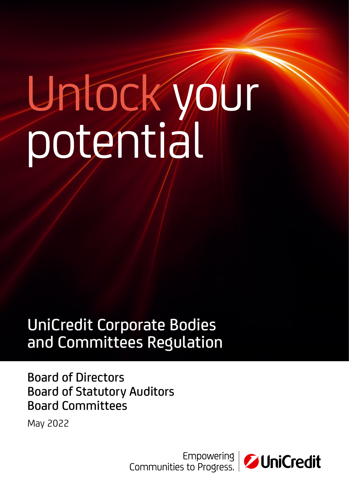# Unlock your potential

# UniCredit Corporate Bodies and Committees Regulation

# Board of Directors Board of Statutory Auditors Board Committees

May 2022

| Empowering<br>| Communities to Progress.

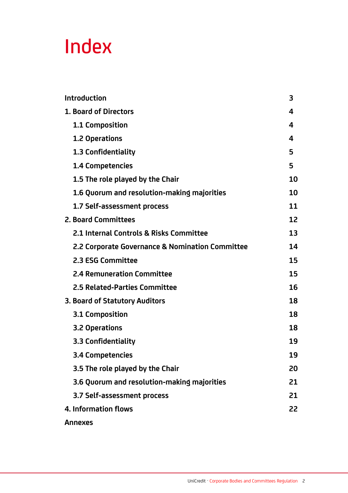# Index

| Introduction                                    | 3  |
|-------------------------------------------------|----|
| 1. Board of Directors                           | 4  |
| 1.1 Composition                                 | 4  |
| 1.2 Operations                                  | 4  |
| 1.3 Confidentiality                             | 5  |
| 1.4 Competencies                                | 5  |
| 1.5 The role played by the Chair                | 10 |
| 1.6 Quorum and resolution-making majorities     | 10 |
| 1.7 Self-assessment process                     | 11 |
| 2. Board Committees                             | 12 |
| 2.1 Internal Controls & Risks Committee         | 13 |
| 2.2 Corporate Governance & Nomination Committee | 14 |
| 2.3 ESG Committee                               | 15 |
| <b>2.4 Remuneration Committee</b>               | 15 |
| 2.5 Related-Parties Committee                   | 16 |
| 3. Board of Statutory Auditors                  | 18 |
| 3.1 Composition                                 | 18 |
| 3.2 Operations                                  | 18 |
| 3.3 Confidentiality                             | 19 |
| 3.4 Competencies                                | 19 |
| 3.5 The role played by the Chair                | 20 |
| 3.6 Quorum and resolution-making majorities     | 21 |
| 3.7 Self-assessment process                     | 21 |
| 4. Information flows                            | 22 |
| <b>Annexes</b>                                  |    |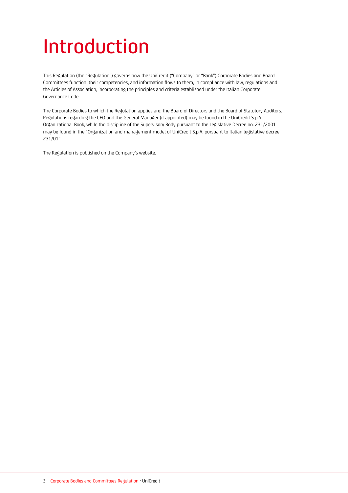# Introduction

This Regulation (the "Regulation") governs how the UniCredit ("Company" or "Bank") Corporate Bodies and Board Committees function, their competencies, and information flows to them, in compliance with law, regulations and the Articles of Association, incorporating the principles and criteria established under the Italian Corporate Governance Code.

The Corporate Bodies to which the Regulation applies are: the Board of Directors and the Board of Statutory Auditors. Regulations regarding the CEO and the General Manager (if appointed) may be found in the UniCredit S.p.A. Organizational Book, while the discipline of the Supervisory Body pursuant to the Legislative Decree no. 231/2001 may be found in the "Organization and management [model of UniCredit S.p.A. pursuant to Italian legislative decree](https://www.unicreditgroup.eu/content/dam/unicreditgroup-eu/documents/en/governance/supervisory-body/Organization-and-Management-Model-of-UniCredit-S.p.A.pdf)  [231/01](https://www.unicreditgroup.eu/content/dam/unicreditgroup-eu/documents/en/governance/supervisory-body/Organization-and-Management-Model-of-UniCredit-S.p.A.pdf)".

The Regulation is published on the Company's website.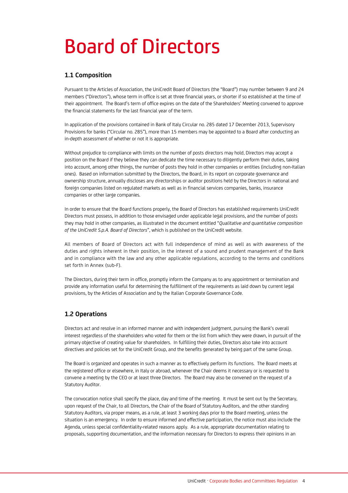# Board of Directors

# **1.1 Composition**

Pursuant to the Articles of Association, the UniCredit Board of Directors (the "Board") may number between 9 and 24 members ("Directors"), whose term in office is set at three financial years, or shorter if so established at the time of their appointment. The Board's term of office expires on the date of the Shareholders' Meeting convened to approve the financial statements for the last financial year of the term.

In application of the provisions contained in Bank of Italy Circular no. 285 dated 17 December 2013, Supervisory Provisions for banks ("Circular no. 285"), more than 15 members may be appointed to a Board after conducting an in-depth assessment of whether or not it is appropriate.

Without prejudice to compliance with limits on the number of posts directors may hold, Directors may accept a position on the Board if they believe they can dedicate the time necessary to diligently perform their duties, taking into account, among other things, the number of posts they hold in other companies or entities (including non-Italian ones). Based on information submitted by the Directors, the Board, in its report on corporate governance and ownership structure, annually discloses any directorships or auditor positions held by the Directors in national and foreign companies listed on regulated markets as well as in financial services companies, banks, insurance companies or other large companies.

In order to ensure that the Board functions properly, the Board of Directors has established requirements UniCredit Directors must possess, in addition to those envisaged under applicable legal provisions, and the number of posts they may hold in other companies, as illustrated in the document entitled "*Qualitative and quantitative composition of the UniCredit S.p.A. Board of Directors*", which is published on the UniCredit website.

All members of Board of Directors act with full independence of mind as well as with awareness of the duties and rights inherent in their position, in the interest of a sound and prudent management of the Bank and in compliance with the law and any other applicable regulations, according to the terms and conditions set forth in Annex (sub-F).

The Directors, during their term in office, promptly inform the Company as to any appointment or termination and provide any information useful for determining the fulfillment of the requirements as laid down by current legal provisions, by the Articles of Association and by the Italian Corporate Governance Code.

# **1.2 Operations**

Directors act and resolve in an informed manner and with independent judgment, pursuing the Bank's overall interest regardless of the shareholders who voted for them or the list from which they were drawn, in pursuit of the primary objective of creating value for shareholders. In fulfilling their duties, Directors also take into account directives and policies set for the UniCredit Group, and the benefits generated by being part of the same Group.

The Board is organized and operates in such a manner as to effectively perform its functions. The Board meets at the registered office or elsewhere, in Italy or abroad, whenever the Chair deems it necessary or is requested to convene a meeting by the CEO or at least three Directors. The Board may also be convened on the request of a Statutory Auditor.

The convocation notice shall specify the place, day and time of the meeting. It must be sent out by the Secretary, upon request of the Chair, to all Directors, the Chair of the Board of Statutory Auditors, and the other standing Statutory Auditors, via proper means, as a rule, at least 3 working days prior to the Board meeting, unless the situation is an emergency. In order to ensure informed and effective participation, the notice must also include the Agenda, unless special confidentiality-related reasons apply. As a rule, appropriate documentation relating to proposals, supporting documentation, and the information necessary for Directors to express their opinions in an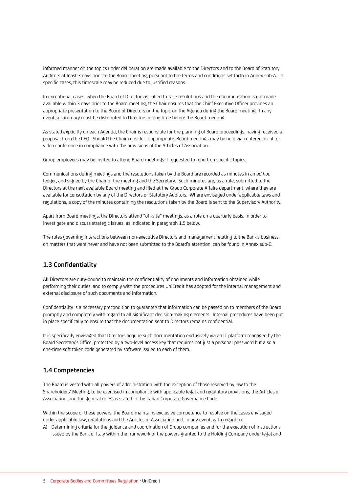informed manner on the topics under deliberation are made available to the Directors and to the Board of Statutory Auditors at least 3 days prior to the Board meeting, pursuant to the terms and conditions set forth in Annex sub-A. In specific cases, this timescale may be reduced due to justified reasons.

In exceptional cases, when the Board of Directors is called to take resolutions and the documentation is not made available within 3 days prior to the Board meeting, the Chair ensures that the Chief Executive Officer provides an appropriate presentation to the Board of Directors on the topic on the Agenda during the Board meeting. In any event, a summary must be distributed to Directors in due time before the Board meeting.

As stated explicitly on each Agenda, the Chair is responsible for the planning of Board proceedings, having received a proposal from the CEO. Should the Chair consider it appropriate, Board meetings may be held via conference call or video conference in compliance with the provisions of the Articles of Association.

Group employees may be invited to attend Board meetings if requested to report on specific topics.

Communications during meetings and the resolutions taken by the Board are recorded as minutes in an *ad hoc*  ledger, and signed by the Chair of the meeting and the Secretary. Such minutes are, as a rule, submitted to the Directors at the next available Board meeting and filed at the Group Corporate Affairs department, where they are available for consultation by any of the Directors or Statutory Auditors. Where envisaged under applicable laws and regulations, a copy of the minutes containing the resolutions taken by the Board is sent to the Supervisory Authority.

Apart from Board meetings, the Directors attend "off-site" meetings, as a rule on a quarterly basis, in order to investigate and discuss strategic issues, as indicated in paragraph 1.5 below.

The rules governing interactions between non-executive Directors and management relating to the Bank's business, on matters that were never and have not been submitted to the Board's attention, can be found in Annex sub-C.

# **1.3 Confidentiality**

All Directors are duty-bound to maintain the confidentiality of documents and information obtained while performing their duties, and to comply with the procedures UniCredit has adopted for the internal management and external disclosure of such documents and information.

Confidentiality is a necessary precondition to guarantee that information can be passed on to members of the Board promptly and completely with regard to all significant decision-making elements. Internal procedures have been put in place specifically to ensure that the documentation sent to Directors remains confidential.

It is specifically envisaged that Directors acquire such documentation exclusively via an IT platform managed by the Board Secretary's Office, protected by a two-level access key that requires not just a personal password but also a one-time soft token code generated by software issued to each of them.

# **1.4 Competencies**

The Board is vested with all powers of administration with the exception of those reserved by law to the Shareholders' Meeting, to be exercised in compliance with applicable legal and regulatory provisions, the Articles of Association, and the general rules as stated in the Italian Corporate Governance Code.

Within the scope of these powers, the Board maintains exclusive competence to resolve on the cases envisaged under applicable law, regulations and the Articles of Association and, in any event, with regard to:

A) Determining criteria for the guidance and coordination of Group companies and for the execution of instructions issued by the Bank of Italy within the framework of the powers granted to the Holding Company under legal and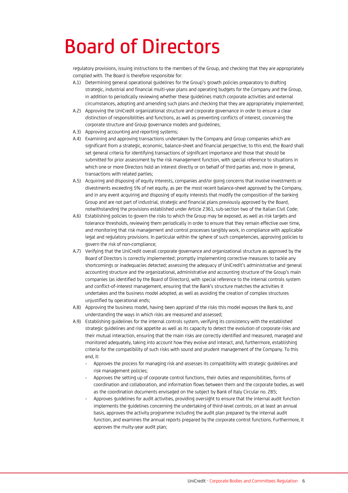# Board of Directors

regulatory provisions, issuing instructions to the members of the Group, and checking that they are appropriately complied with. The Board is therefore responsible for:

- A.1) Determining general operational guidelines for the Group's growth policies preparatory to drafting strategic, industrial and financial multi-year plans and operating budgets for the Company and the Group, in addition to periodically reviewing whether these guidelines match corporate activities and external circumstances, adopting and amending such plans and checking that they are appropriately implemented;
- A.2) Approving the UniCredit organizational structure and corporate governance in order to ensure a clear distinction of responsibilities and functions, as well as preventing conflicts of interest, concerning the corporate structure and Group governance models and guidelines;
- A.3) Approving accounting and reporting systems;
- A.4) Examining and approving transactions undertaken by the Company and Group companies which are significant from a strategic, economic, balance-sheet and financial perspective; to this end, the Board shall set general criteria for identifying transactions of significant importance and those that should be submitted for prior assessment by the risk management function, with special reference to situations in which one or more Directors hold an interest directly or on behalf of third parties and, more in general, transactions with related parties;
- A.5) Acquiring and disposing of equity interests, companies and/or going concerns that involve investments or divestments exceeding 5% of net equity, as per the most recent balance-sheet approved by the Company, and in any event acquiring and disposing of equity interests that modify the composition of the banking Group and are not part of industrial, strategic and financial plans previously approved by the Board, notwithstanding the provisions established under Article 2361, sub-section two of the Italian Civil Code;
- A.6) Establishing policies to govern the risks to which the Group may be exposed, as well as risk targets and tolerance thresholds, reviewing them periodically in order to ensure that they remain effective over time, and monitoring that risk management and control processes tangibly work, in compliance with applicable legal and regulatory provisions. In particular within the sphere of such competencies, approving policies to govern the risk of non-compliance;
- A.7) Verifying that the UniCredit overall corporate governance and organizational structure as approved by the Board of Directors is correctly implemented; promptly implementing corrective measures to tackle any shortcomings or inadequacies detected; assessing the adequacy of UniCredit's administrative and general accounting structure and the organizational, administrative and accounting structure of the Group's main companies (as identified by the Board of Directors), with special reference to the internal controls system and conflict-of-interest management, ensuring that the Bank's structure matches the activities it undertakes and the business model adopted, as well as avoiding the creation of complex structures unjustified by operational ends;
- A.8) Approving the business model, having been apprized of the risks this model exposes the Bank to, and understanding the ways in which risks are measured and assessed;
- A.9) Establishing guidelines for the internal controls system, verifying its consistency with the established strategic guidelines and risk appetite as well as its capacity to detect the evolution of corporate risks and their mutual interaction, ensuring that the main risks are correctly identified and measured, managed and monitored adequately, taking into account how they evolve and interact, and, furthermore, establishing criteria for the compatibility of such risks with sound and prudent management of the Company. To this end, it:
	- Approves the process for managing risk and assesses its compatibility with strategic guidelines and risk management policies;
	- Approves the setting up of corporate control functions, their duties and responsibilities, forms of coordination and collaboration, and information flows between them and the corporate bodies, as well as the coordination documents envisaged on the subject by Bank of Italy Circular no. 285;
	- Approves guidelines for audit activities, providing oversight to ensure that the internal audit function implements the guidelines concerning the undertaking of third-level controls; on at least an annual basis, approves the activity programme including the audit plan prepared by the internal audit function, and examines the annual reports prepared by the corporate control functions. Furthermore, it approves the multy-year audit plan;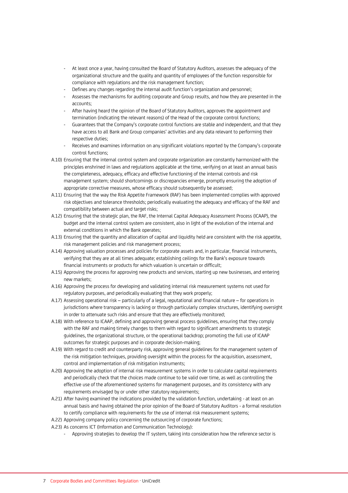- At least once a year, having consulted the Board of Statutory Auditors, assesses the adequacy of the organizational structure and the quality and quantity of employees of the function responsible for compliance with regulations and the risk management function;
- Defines any changes regarding the internal audit function's organization and personnel;
- Assesses the mechanisms for auditing corporate and Group results, and how they are presented in the accounts;
- After having heard the opinion of the Board of Statutory Auditors, approves the appointment and termination (indicating the relevant reasons) of the Head of the corporate control functions;
- Guarantees that the Company's corporate control functions are stable and independent, and that they have access to all Bank and Group companies' activities and any data relevant to performing their respective duties;
- Receives and examines information on any significant violations reported by the Company's corporate control functions;
- A.10) Ensuring that the internal control system and corporate organization are constantly harmonized with the principles enshrined in laws and regulations applicable at the time, verifying on at least an annual basis the completeness, adequacy, efficacy and effective functioning of the internal controls and risk management system; should shortcomings or discrepancies emerge, promptly ensuring the adoption of appropriate corrective measures, whose efficacy should subsequently be assessed;
- A.11) Ensuring that the way the Risk Appetite Framework (RAF) has been implemented complies with approved risk objectives and tolerance thresholds; periodically evaluating the adequacy and efficacy of the RAF and compatibility between actual and target risks;
- A.12) Ensuring that the strategic plan, the RAF, the Internal Capital Adequacy Assessment Process (ICAAP), the budget and the internal control system are consistent, also in light of the evolution of the internal and external conditions in which the Bank operates;
- A.13) Ensuring that the quantity and allocation of capital and liquidity held are consistent with the risk appetite, risk management policies and risk management process;
- A.14) Approving valuation processes and policies for corporate assets and, in particular, financial instruments, verifying that they are at all times adequate; establishing ceilings for the Bank's exposure towards financial instruments or products for which valuation is uncertain or difficult;
- A.15) Approving the process for approving new products and services, starting up new businesses, and entering new markets;
- A.16) Approving the process for developing and validating internal risk measurement systems not used for regulatory purposes, and periodically evaluating that they work properly;
- A.17) Assessing operational risk particularly of a legal, reputational and financial nature for operations in jurisdictions where transparency is lacking or through particularly complex structures, identifying oversight in order to attenuate such risks and ensure that they are effectively monitored;
- A.18) With reference to ICAAP, defining and approving general process guidelines, ensuring that they comply with the RAF and making timely changes to them with regard to significant amendments to strategic guidelines, the organizational structure, or the operational backdrop; promoting the full use of ICAAP outcomes for strategic purposes and in corporate decision-making;
- A.19) With regard to credit and counterparty risk, approving general guidelines for the management system of the risk mitigation techniques, providing oversight within the process for the acquisition, assessment, control and implementation of risk mitigation instruments;
- A.20) Approving the adoption of internal risk measurement systems in order to calculate capital requirements and periodically check that the choices made continue to be valid over time, as well as controlling the effective use of the aforementioned systems for management purposes, and its consistency with any requirements envisaged by or under other statutory requirements;
- A.21) After having examined the indications provided by the validation function, undertaking at least on an annual basis and having obtained the prior opinion of the Board of Statutory Auditors - a formal resolution to certify compliance with requirements for the use of internal risk measurement systems;
- A.22) Approving company policy concerning the outsourcing of corporate functions;
- A.23) As concerns ICT (Information and Communication Technology):
	- Approving strategies to develop the IT system, taking into consideration how the reference sector is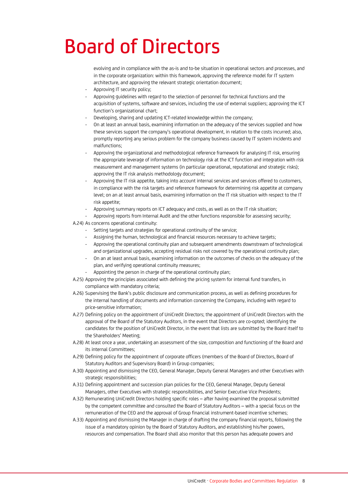# Board of Directors

evolving and in compliance with the as-is and to-be situation in operational sectors and processes, and in the corporate organization: within this framework, approving the reference model for IT system architecture, and approving the relevant strategic orientation document;

- Approving IT security policy;
- Approving guidelines with regard to the selection of personnel for technical functions and the acquisition of systems, software and services, including the use of external suppliers; approving the ICT function's organizational chart;
- Developing, sharing and updating ICT-related knowledge within the company;
- On at least an annual basis, examining information on the adequacy of the services supplied and how these services support the company's operational development, in relation to the costs incurred; also, promptly reporting any serious problem for the company business caused by IT system incidents and malfunctions;
- Approving the organizational and methodological reference framework for analysing IT risk, ensuring the appropriate leverage of information on technology risk at the ICT function and integration with risk measurement and management systems (in particular operational, reputational and strategic risks); approving the IT risk analysis methodology document;
- Approving the IT risk appetite, taking into account internal services and services offered to customers, in compliance with the risk targets and reference framework for determining risk appetite at company level; on an at least annual basis, examining information on the IT risk situation with respect to the IT risk appetite;
- Approving summary reports on ICT adequacy and costs, as well as on the IT risk situation;
- Approving reports from Internal Audit and the other functions responsible for assessing security; A.24) As concerns operational continuity:
	- Setting targets and strategies for operational continuity of the service;
	- Assigning the human, technological and financial resources necessary to achieve targets;
	- Approving the operational continuity plan and subsequent amendments downstream of technological and organizational upgrades, accepting residual risks not covered by the operational continuity plan;
	- On an at least annual basis, examining information on the outcomes of checks on the adequacy of the plan, and verifying operational continuity measures;
	- Appointing the person in charge of the operational continuity plan;
- A.25) Approving the principles associated with defining the pricing system for internal fund transfers, in compliance with mandatory criteria;
- A.26) Supervising the Bank's public disclosure and communication process, as well as defining procedures for the internal handling of documents and information concerning the Company, including with regard to price-sensitive information;
- A.27) Defining policy on the appointment of UniCredit Directors; the appointment of UniCredit Directors with the approval of the Board of the Statutory Auditors, in the event that Directors are co-opted; identifying the candidates for the position of UniCredit Director, in the event that lists are submitted by the Board itself to the Shareholders' Meeting;
- A.28) At least once a year, undertaking an assessment of the size, composition and functioning of the Board and its internal Committees;
- A.29) Defining policy for the appointment of corporate officers (members of the Board of Directors, Board of Statutory Auditors and Supervisory Board) in Group companies;
- A.30) Appointing and dismissing the CEO, General Manager, Deputy General Managers and other Executives with strategic responsibilities;
- A.31) Defining appointment and succession plan policies for the CEO, General Manager, Deputy General Managers, other Executives with strategic responsibilities, and Senior Executive Vice Presidents;
- A.32) Remunerating UniCredit Directors holding specific roles after having examined the proposal submitted by the competent committee and consulted the Board of Statutory Auditors – with a special focus on the remuneration of the CEO and the approval of Group financial instrument-based incentive schemes;
- A.33) Appointing and dismissing the Manager in charge of drafting the company financial reports, following the issue of a mandatory opinion by the Board of Statutory Auditors, and establishing his/her powers, resources and compensation. The Board shall also monitor that this person has adequate powers and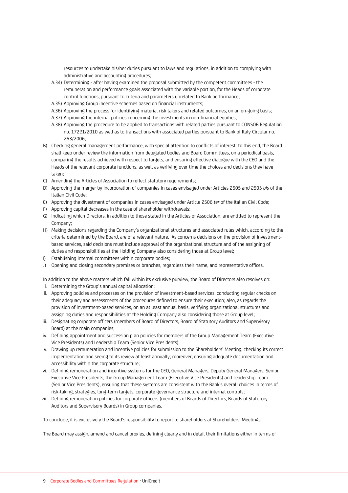resources to undertake his/her duties pursuant to laws and regulations, in addition to complying with administrative and accounting procedures;

- A.34) Determining after having examined the proposal submitted by the competent committees the remuneration and performance goals associated with the variable portion, for the Heads of corporate control functions, pursuant to criteria and parameters unrelated to Bank performance;
- A.35) Approving Group incentive schemes based on financial instruments;
- A.36) Approving the process for identifying material risk takers and related outcomes, on an on-going basis;
- A.37) Approving the internal policies concerning the investments in non-financial equities;
- A.38) Approving the procedure to be applied to transactions with related parties pursuant to CONSOB Regulation no. 17221/2010 as well as to transactions with associated parties pursuant to Bank of Italy Circular no. 263/2006;
- B) Checking general management performance, with special attention to conflicts of interest: to this end, the Board shall keep under review the information from delegated bodies and Board Committees, on a periodical basis, comparing the results achieved with respect to targets, and ensuring effective dialogue with the CEO and the Heads of the relevant corporate functions, as well as verifying over time the choices and decisions they have taken;
- C) Amending the Articles of Association to reflect statutory requirements;
- D) Approving the merger by incorporation of companies in cases envisaged under Articles 2505 and 2505 *bis* of the Italian Civil Code;
- E) Approving the divestment of companies in cases envisaged under Article 2506 *ter* of the Italian Civil Code;
- F) Approving capital decreases in the case of shareholder withdrawals;
- G) Indicating which Directors, in addition to those stated in the Articles of Association, are entitled to represent the Company;
- H) Making decisions regarding the Company's organizational structures and associated rules which, according to the criteria determined by the Board, are of a relevant nature. As concerns decisions on the provision of investmentbased services, said decisions must include approval of the organizational structure and of the assigning of duties and responsibilities at the Holding Company also considering those at Group level;
- I) Establishing internal committees within corporate bodies;
- J) Opening and closing secondary premises or branches, regardless their name, and representative offices.

In addition to the above matters which fall within its exclusive purview, the Board of Directors also resolves on:

- i. Determining the Group's annual capital allocation;
- ii. Approving policies and processes on the provision of investment-based services, conducting regular checks on their adequacy and assessments of the procedures defined to ensure their execution; also, as regards the provision of investment-based services, on an at least annual basis, verifying organizational structures and assigning duties and responsibilities at the Holding Company also considering those at Group level;
- iii. Designating corporate officers (members of Board of Directors, Board of Statutory Auditors and Supervisory Board) at the main companies;
- iv. Defining appointment and succession plan policies for members of the Group Management Team (Executive Vice Presidents) and Leadership Team (Senior Vice Presidents);
- v. Drawing up remuneration and incentive policies for submission to the Shareholders' Meeting, checking its correct implementation and seeing to its review at least annually; moreover, ensuring adequate documentation and accessibility within the corporate structure;
- vi. Defining remuneration and incentive systems for the CEO, General Managers, Deputy General Managers, Senior Executive Vice Presidents, the Group Management Team (Executive Vice Presidents) and Leadership Team (Senior Vice Presidents), ensuring that these systems are consistent with the Bank's overall choices in terms of risk-taking, strategies, long-term targets, corporate governance structure and internal controls;
- vii. Defining remuneration policies for corporate officers (members of Boards of Directors, Boards of Statutory Auditors and Supervisory Boards) in Group companies.

To conclude, it is exclusively the Board's responsibility to report to shareholders at Shareholders' Meetings.

The Board may assign, amend and cancel proxies, defining clearly and in detail their limitations either in terms of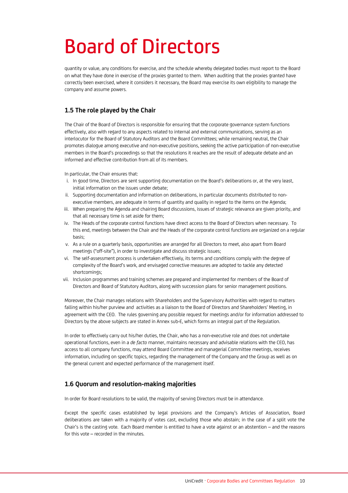# Board of Directors

quantity or value, any conditions for exercise, and the schedule whereby delegated bodies must report to the Board on what they have done in exercise of the proxies granted to them. When auditing that the proxies granted have correctly been exercised, where it considers it necessary, the Board may exercise its own eligibility to manage the company and assume powers.

# **1.5 The role played by the Chair**

The Chair of the Board of Directors is responsible for ensuring that the corporate governance system functions effectively, also with regard to any aspects related to internal and external communications, serving as an interlocutor for the Board of Statutory Auditors and the Board Committees; while remaining neutral, the Chair promotes dialogue among executive and non-executive positions, seeking the active participation of non-executive members in the Board's proceedings so that the resolutions it reaches are the result of adequate debate and an informed and effective contribution from all of its members.

In particular, the Chair ensures that:

- i. In good time, Directors are sent supporting documentation on the Board's deliberations or, at the very least, initial information on the issues under debate;
- ii. Supporting documentation and information on deliberations, in particular documents distributed to nonexecutive members, are adequate in terms of quantity and quality in regard to the items on the Agenda;
- iii. When preparing the Agenda and chairing Board discussions, issues of strategic relevance are given priority, and that all necessary time is set aside for them;
- iv. The Heads of the corporate control functions have direct access to the Board of Directors when necessary. To this end, meetings between the Chair and the Heads of the corporate control functions are organized on a regular basis;
- v. As a rule on a quarterly basis, opportunities are arranged for all Directors to meet, also apart from Board meetings ("off-site"), in order to investigate and discuss strategic issues;
- vi. The self-assessment process is undertaken effectively, its terms and conditions comply with the degree of complexity of the Board's work, and envisaged corrective measures are adopted to tackle any detected shortcomings;
- vii. Inclusion programmes and training schemes are prepared and implemented for members of the Board of Directors and Board of Statutory Auditors, along with succession plans for senior management positions.

Moreover, the Chair manages relations with Shareholders and the Supervisory Authorities with regard to matters falling within his/her purview and activities as a liaison to the Board of Directors and Shareholders' Meeting, in agreement with the CEO. The rules governing any possible request for meetings and/or for information addressed to Directors by the above subjects are stated in Annex sub-E, which forms an integral part of the Regulation.

In order to effectively carry out his/her duties, the Chair, who has a non-executive role and does not undertake operational functions, even in a *de facto* manner, maintains necessary and advisable relations with the CEO, has access to all company functions, may attend Board Committee and managerial Committee meetings, receives information, including on specific topics, regarding the management of the Company and the Group as well as on the general current and expected performance of the management itself.

# **1.6 Quorum and resolution-making majorities**

In order for Board resolutions to be valid, the majority of serving Directors must be in attendance.

Except the specific cases established by legal provisions and the Company's Articles of Association, Board deliberations are taken with a majority of votes cast, excluding those who abstain; in the case of a split vote the Chair's is the casting vote. Each Board member is entitled to have a vote against or an abstention – and the reasons for this vote – recorded in the minutes.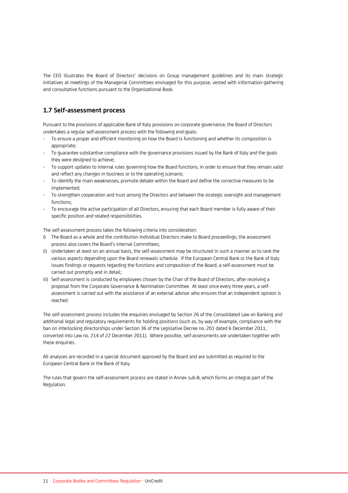The CEO illustrates the Board of Directors' decisions on Group management guidelines and its main strategic initiatives at meetings of the Managerial Committees envisaged for this purpose, vested with information-gathering and consultative functions pursuant to the Organizational Book.

# **1.7 Self-assessment process**

Pursuant to the provisions of applicable Bank of Italy provisions on corporate governance, the Board of Directors undertakes a regular self-assessment process with the following end-goals:

- To ensure a proper and efficient monitoring on how the Board is functioning and whether its composition is appropriate;
- To guarantee substantive compliance with the governance provisions issued by the Bank of Italy and the goals they were designed to achieve;
- To support updates to internal rules governing how the Board functions, in order to ensure that they remain valid and reflect any changes in business or to the operating scenario;
- To identify the main weaknesses, promote debate within the Board and define the corrective measures to be implemented;
- To strengthen cooperation and trust among the Directors and between the strategic oversight and management functions;
- To encourage the active participation of all Directors, ensuring that each Board member is fully aware of their specific position and related responsibilities.

The self-assessment process takes the following criteria into consideration:

- i) The Board as a whole and the contribution individual Directors make to Board proceedings; the assessment process also covers the Board's internal Committees;
- ii) Undertaken at least on an annual basis, the self-assessment may be structured in such a manner as to rank the various aspects depending upon the Board renewals schedule. If the European Central Bank or the Bank of Italy issues findings or requests regarding the functions and composition of the Board, a self-assessment must be carried out promptly and in detail;
- iii) Self-assessment is conducted by employees chosen by the Chair of the Board of Directors, after receiving a proposal from the Corporate Governance & Nomination Committee. At least once every three years, a selfassessment is carried out with the assistance of an external advisor who ensures that an independent opinion is reached.

The self-assessment process includes the enquiries envisaged by Section 26 of the Consolidated Law on Banking and additional legal and regulatory requirements for holding positions (such as, by way of example, compliance with the ban on interlocking directorships under Section 36 of the Legislative Decree no. 201 dated 6 December 2011, converted into Law no. 214 of 22 December 2011). Where possible, self-assessments are undertaken together with these enquiries.

All analyses are recorded in a special document approved by the Board and are submitted as required to the European Central Bank or the Bank of Italy.

The rules that govern the self-assessment process are stated in Annex sub-B, which forms an integral part of the Regulation.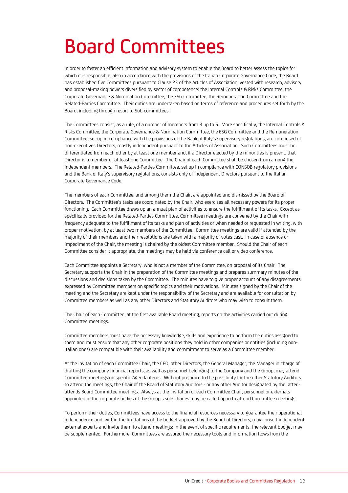# Board Committees

In order to foster an efficient information and advisory system to enable the Board to better assess the topics for which it is responsible, also in accordance with the provisions of the Italian Corporate Governance Code, the Board has established five Committees pursuant to Clause 23 of the Articles of Association, vested with research, advisory and proposal-making powers diversified by sector of competence: the Internal Controls & Risks Committee, the Corporate Governance & Nomination Committee, the ESG Committee, the Remuneration Committee and the Related-Parties Committee. Their duties are undertaken based on terms of reference and procedures set forth by the Board, including through resort to Sub-committees.

The Committees consist, as a rule, of a number of members from 3 up to 5. More specifically, the Internal Controls & Risks Committee, the Corporate Governance & Nomination Committee, the ESG Committee and the Remuneration Committee, set up in compliance with the provisions of the Bank of Italy's supervisory regulations, are composed of non-executives Directors, mostly independent pursuant to the Articles of Association. Such Committees must be differentiated from each other by at least one member and, if a Director elected by the minorities is present, that Director is a member of at least one Committee. The Chair of each Committee shall be chosen from among the independent members. The Related-Parties Committee, set up in compliance with CONSOB regulatory provisions and the Bank of Italy's supervisory regulations, consists only of independent Directors pursuant to the Italian Corporate Governance Code.

The members of each Committee, and among them the Chair, are appointed and dismissed by the Board of Directors. The Committee's tasks are coordinated by the Chair, who exercises all necessary powers for its proper functioning. Each Committee draws up an annual plan of activities to ensure the fulfillment of its tasks. Except as specifically provided for the Related-Parties Committee, Committee meetings are convened by the Chair with frequency adequate to the fulfillment of its tasks and plan of activities or when needed or requested in writing, with proper motivation, by at least two members of the Committee. Committee meetings are valid if attended by the majority of their members and their resolutions are taken with a majority of votes cast. In case of absence or impediment of the Chair, the meeting is chaired by the oldest Committee member. Should the Chair of each Committee consider it appropriate, the meetings may be held via conference call or video conference.

Each Committee appoints a Secretary, who is not a member of the Committee, on proposal of its Chair. The Secretary supports the Chair in the preparation of the Committee meetings and prepares summary minutes of the discussions and decisions taken by the Committee. The minutes have to give proper account of any disagreements expressed by Committee members on specific topics and their motivations. Minutes signed by the Chair of the meeting and the Secretary are kept under the responsibility of the Secretary and are available for consultation by Committee members as well as any other Directors and Statutory Auditors who may wish to consult them.

The Chair of each Committee, at the first available Board meeting, reports on the activities carried out during Committee meetings.

Committee members must have the necessary knowledge, skills and experience to perform the duties assigned to them and must ensure that any other corporate positions they hold in other companies or entities (including non-Italian ones) are compatible with their availability and commitment to serve as a Committee member.

At the invitation of each Committee Chair, the CEO, other Directors, the General Manager, the Manager in charge of drafting the company financial reports, as well as personnel belonging to the Company and the Group, may attend Committee meetings on specific Agenda items. Without prejudice to the possibility for the other Statutory Auditors to attend the meetings, the Chair of the Board of Statutory Auditors - or any other Auditor designated by the latter attends Board Committee meetings. Always at the invitation of each Committee Chair, personnel or externals appointed in the corporate bodies of the Group's subsidiaries may be called upon to attend Committee meetings.

To perform their duties, Committees have access to the financial resources necessary to guarantee their operational independence and, within the limitations of the budget approved by the Board of Directors, may consult independent external experts and invite them to attend meetings; in the event of specific requirements, the relevant budget may be supplemented. Furthermore, Committees are assured the necessary tools and information flows from the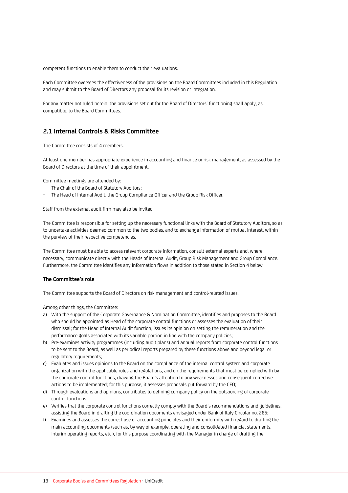competent functions to enable them to conduct their evaluations.

Each Committee oversees the effectiveness of the provisions on the Board Committees included in this Regulation and may submit to the Board of Directors any proposal for its revision or integration.

For any matter not ruled herein, the provisions set out for the Board of Directors' functioning shall apply, as compatible, to the Board Committees.

### **2.1 Internal Controls & Risks Committee**

The Committee consists of 4 members.

At least one member has appropriate experience in accounting and finance or risk management, as assessed by the Board of Directors at the time of their appointment.

Committee meetings are attended by:

- The Chair of the Board of Statutory Auditors;
- The Head of Internal Audit, the Group Compliance Officer and the Group Risk Officer.

Staff from the external audit firm may also be invited.

The Committee is responsible for setting up the necessary functional links with the Board of Statutory Auditors, so as to undertake activities deemed common to the two bodies, and to exchange information of mutual interest, within the purview of their respective competencies.

The Committee must be able to access relevant corporate information, consult external experts and, where necessary, communicate directly with the Heads of Internal Audit, Group Risk Management and Group Compliance. Furthermore, the Committee identifies any information flows in addition to those stated in Section 4 below.

#### **The Committee's role**

The Committee supports the Board of Directors on risk management and control-related issues.

Among other things, the Committee:

- a) With the support of the Corporate Governance & Nomination Committee, identifies and proposes to the Board who should be appointed as Head of the corporate control functions or assesses the evaluation of their dismissal; for the Head of Internal Audit function, issues its opinion on setting the remuneration and the performance goals associated with its variable portion in line with the company policies;
- b) Pre-examines activity programmes (including audit plans) and annual reports from corporate control functions to be sent to the Board, as well as periodical reports prepared by these functions above and beyond legal or regulatory requirements;
- c) Evaluates and issues opinions to the Board on the compliance of the internal control system and corporate organization with the applicable rules and regulations, and on the requirements that must be complied with by the corporate control functions, drawing the Board's attention to any weaknesses and consequent corrective actions to be implemented; for this purpose, it assesses proposals put forward by the CEO;
- d) Through evaluations and opinions, contributes to defining company policy on the outsourcing of corporate control functions;
- e) Verifies that the corporate control functions correctly comply with the Board's recommendations and guidelines, assisting the Board in drafting the coordination documents envisaged under Bank of Italy Circular no. 285;
- f) Examines and assesses the correct use of accounting principles and their uniformity with regard to drafting the main accounting documents (such as, by way of example, operating and consolidated financial statements, interim operating reports, etc.), for this purpose coordinating with the Manager in charge of drafting the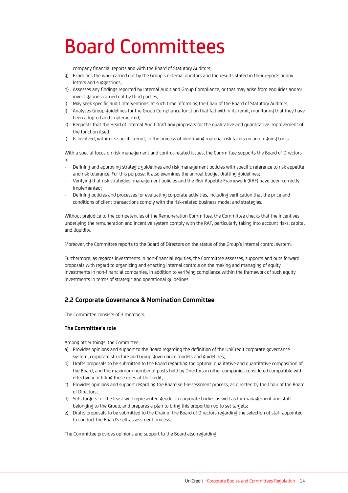# Board Committees

company financial reports and with the Board of Statutory Auditors;

- g) Examines the work carried out by the Group's external auditors and the results stated in their reports or any letters and suggestions;
- h) Assesses any findings reported by Internal Audit and Group Compliance, or that may arise from enquiries and/or investigations carried out by third parties;
- i) May seek specific audit interventions, at such time informing the Chair of the Board of Statutory Auditors;
- j) Analyses Group guidelines for the Group Compliance function that fall within its remit, monitoring that they have been adopted and implemented;
- k) Requests that the Head of Internal Audit draft any proposals for the qualitative and quantitative improvement of the function itself;
- l) Is involved, within its specific remit, in the process of identifying material risk takers on an on-going basis.

With a special focus on risk management and control-related issues, the Committee supports the Board of Directors in:

- Defining and approving strategic guidelines and risk management policies with specific reference to risk appetite and risk tolerance. For this purpose, it also examines the annual budget drafting guidelines;
- Verifying that risk strategies, management policies and the Risk Appetite Framework (RAF) have been correctly implemented;
- Defining policies and processes for evaluating corporate activities, including verification that the price and conditions of client transactions comply with the risk-related business model and strategies.

Without prejudice to the competencies of the Remuneration Committee, the Committee checks that the incentives underlying the remuneration and incentive system comply with the RAF, particularly taking into account risks, capital and liquidity.

Moreover, the Committee reports to the Board of Directors on the status of the Group's internal control system.

Furthermore, as regards investments in non-financial equities, the Committee assesses, supports and puts forward proposals with regard to organizing and enacting internal controls on the making and managing of equity investments in non-financial companies, in addition to verifying compliance within the framework of such equity investments in terms of strategic and operational guidelines.

# **2.2 Corporate Governance & Nomination Committee**

The Committee consists of 3 members.

#### **The Committee's role**

Among other things, the Committee:

- a) Provides opinions and support to the Board regarding the definition of the UniCredit corporate governance system, corporate structure and Group governance models and guidelines;
- b) Drafts proposals to be submitted to the Board regarding the optimal qualitative and quantitative composition of the Board, and the maximum number of posts held by Directors in other companies considered compatible with effectively fulfilling these roles at UniCredit;
- c) Provides opinions and support regarding the Board self-assessment process, as directed by the Chair of the Board of Directors;
- d) Sets targets for the least well represented gender in corporate bodies as well as for management and staff belonging to the Group, and prepares a plan to bring this proportion up to set targets;
- e) Drafts proposals to be submitted to the Chair of the Board of Directors regarding the selection of staff appointed to conduct the Board's self-assessment process.

The Committee provides opinions and support to the Board also regarding: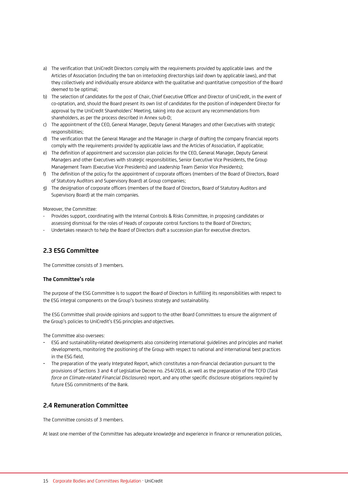- a) The verification that UniCredit Directors comply with the requirements provided by applicable laws and the Articles of Association (including the ban on interlocking directorships laid down by applicable laws), and that they collectively and individually ensure abidance with the qualitative and quantitative composition of the Board deemed to be optimal;
- b) The selection of candidates for the post of Chair, Chief Executive Officer and Director of UniCredit, in the event of co-optation, and, should the Board present its own list of candidates for the position of independent Director for approval by the UniCredit Shareholders' Meeting, taking into due account any recommendations from shareholders, as per the process described in Annex sub-D;
- c) The appointment of the CEO, General Manager, Deputy General Managers and other Executives with strategic responsibilities;
- d) The verification that the General Manager and the Manager in charge of drafting the company financial reports comply with the requirements provided by applicable laws and the Articles of Association, if applicable;
- e) The definition of appointment and succession plan policies for the CEO, General Manager, Deputy General Managers and other Executives with strategic responsibilities, Senior Executive Vice Presidents, the Group Management Team (Executive Vice Presidents) and Leadership Team (Senior Vice Presidents);
- f) The definition of the policy for the appointment of corporate officers (members of the Board of Directors, Board of Statutory Auditors and Supervisory Board) at Group companies;
- g) The designation of corporate officers (members of the Board of Directors, Board of Statutory Auditors and Supervisory Board) at the main companies.

Moreover, the Committee:

- Provides support, coordinating with the Internal Controls & Risks Committee, in proposing candidates or assessing dismissal for the roles of Heads of corporate control functions to the Board of Directors;
- Undertakes research to help the Board of Directors draft a succession plan for executive directors.

# **2.3 ESG Committee**

The Committee consists of 3 members.

#### **The Committee's role**

The purpose of the ESG Committee is to support the Board of Directors in fulfilling its responsibilities with respect to the ESG integral components on the Group's business strategy and sustainability.

The ESG Committee shall provide opinions and support to the other Board Committees to ensure the alignment of the Group's policies to UniCredit's ESG principles and objectives.

The Committee also oversees:

- ESG and sustainability-related developments also considering international guidelines and principles and market developments, monitoring the positioning of the Group with respect to national and international best practices in the ESG field,
- The preparation of the yearly Integrated Report, which constitutes a non-financial declaration pursuant to the provisions of Sections 3 and 4 of Legislative Decree no. 254/2016, as well as the preparation of the TCFD (*Task force on Climate-related Financial Disclosures*) report, and any other specific disclosure obligations required by future ESG commitments of the Bank.

# **2.4 Remuneration Committee**

The Committee consists of 3 members.

At least one member of the Committee has adequate knowledge and experience in finance or remuneration policies,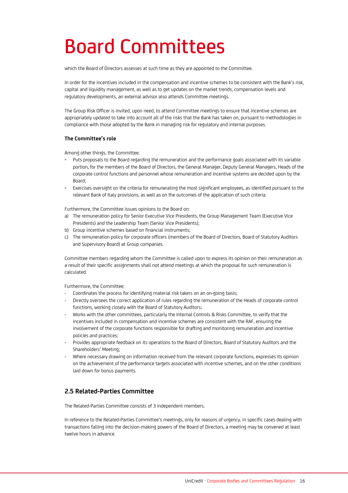# Board Committees

which the Board of Directors assesses at such time as they are appointed to the Committee.

In order for the incentives included in the compensation and incentive schemes to be consistent with the Bank's risk, capital and liquidity management, as well as to get updates on the market trends, compensation levels and regulatory developments, an external advisor also attends Committee meetings.

The Group Risk Officer is invited, upon need, to attend Committee meetings to ensure that incentive schemes are appropriately updated to take into account all of the risks that the Bank has taken on, pursuant to methodologies in compliance with those adopted by the Bank in managing risk for regulatory and internal purposes.

#### **The Committee's role**

Among other things, the Committee:

- Puts proposals to the Board regarding the remuneration and the performance goals associated with its variable portion, for the members of the Board of Directors, the General Manager, Deputy General Managers, Heads of the corporate control functions and personnel whose remuneration and incentive systems are decided upon by the Board;
- Exercises oversight on the criteria for remunerating the most significant employees, as identified pursuant to the relevant Bank of Italy provisions, as well as on the outcomes of the application of such criteria.

Furthermore, the Committee issues opinions to the Board on:

- a) The remuneration policy for Senior Executive Vice Presidents, the Group Management Team (Executive Vice Presidents) and the Leadership Team (Senior Vice Presidents);
- b) Group incentive schemes based on financial instruments;
- c) The remuneration policy for corporate officers (members of the Board of Directors, Board of Statutory Auditors and Supervisory Board) at Group companies.

Committee members regarding whom the Committee is called upon to express its opinion on their remuneration as a result of their specific assignments shall not attend meetings at which the proposal for such remuneration is calculated.

Furthermore, the Committee:

- Coordinates the process for identifying material risk takers on an on-going basis;
- Directly oversees the correct application of rules regarding the remuneration of the Heads of corporate control functions, working closely with the Board of Statutory Auditors;
- Works with the other committees, particularly the Internal Controls & Risks Committee, to verify that the incentives included in compensation and incentive schemes are consistent with the RAF, ensuring the involvement of the corporate functions responsible for drafting and monitoring remuneration and incentive policies and practices;
- Provides appropriate feedback on its operations to the Board of Directors, Board of Statutory Auditors and the Shareholders' Meeting;
- Where necessary drawing on information received from the relevant corporate functions, expresses its opinion on the achievement of the performance targets associated with incentive schemes, and on the other conditions laid down for bonus payments.

# **2.5 Related-Parties Committee**

The Related-Parties Committee consists of 3 independent members.

In reference to the Related-Parties Committee's meetings, only for reasons of urgency, in specific cases dealing with transactions falling into the decision-making powers of the Board of Directors, a meeting may be convened at least twelve hours in advance.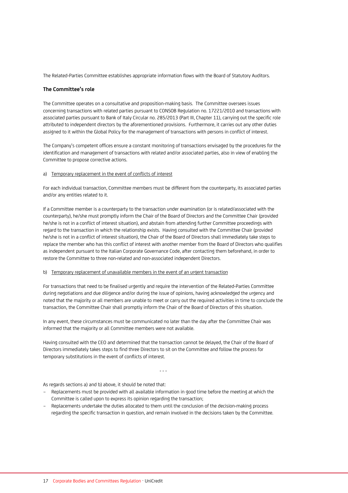The Related-Parties Committee establishes appropriate information flows with the Board of Statutory Auditors.

#### **The Committee's role**

The Committee operates on a consultative and proposition-making basis. The Committee oversees issues concerning transactions with related parties pursuant to CONSOB Regulation no. 17221/2010 and transactions with associated parties pursuant to Bank of Italy Circular no. 285/2013 (Part III, Chapter 11), carrying out the specific role attributed to independent directors by the aforementioned provisions. Furthermore, it carries out any other duties assigned to it within the Global Policy for the management of transactions with persons in conflict of interest.

The Company's competent offices ensure a constant monitoring of transactions envisaged by the procedures for the identification and management of transactions with related and/or associated parties, also in view of enabling the Committee to propose corrective actions.

#### a) Temporary replacement in the event of conflicts of interest

For each individual transaction, Committee members must be different from the counterparty, its associated parties and/or any entities related to it.

If a Committee member is a counterparty to the transaction under examination (or is related/associated with the counterparty), he/she must promptly inform the Chair of the Board of Directors and the Committee Chair (provided he/she is not in a conflict of interest situation), and abstain from attending further Committee proceedings with regard to the transaction in which the relationship exists. Having consulted with the Committee Chair (provided he/she is not in a conflict of interest situation), the Chair of the Board of Directors shall immediately take steps to replace the member who has this conflict of interest with another member from the Board of Directors who qualifies as independent pursuant to the Italian Corporate Governance Code, after contacting them beforehand, in order to restore the Committee to three non-related and non-associated independent Directors.

#### b) Temporary replacement of unavailable members in the event of an urgent transaction

For transactions that need to be finalised urgently and require the intervention of the Related-Parties Committee during negotiations and due diligence and/or during the issue of opinions, having acknowledged the urgency and noted that the majority or all members are unable to meet or carry out the required activities in time to conclude the transaction, the Committee Chair shall promptly inform the Chair of the Board of Directors of this situation.

In any event, these circumstances must be communicated no later than the day after the Committee Chair was informed that the majority or all Committee members were not available.

Having consulted with the CEO and determined that the transaction cannot be delayed, the Chair of the Board of Directors immediately takes steps to find three Directors to sit on the Committee and follow the process for temporary substitutions in the event of conflicts of interest.

- - -

As regards sections a) and b) above, it should be noted that:

- Replacements must be provided with all available information in good time before the meeting at which the Committee is called upon to express its opinion regarding the transaction;
- Replacements undertake the duties allocated to them until the conclusion of the decision-making process regarding the specific transaction in question, and remain involved in the decisions taken by the Committee.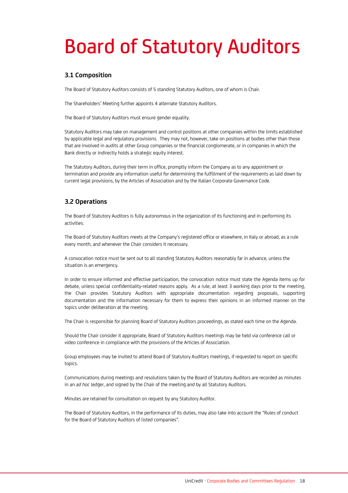# Board of Statutory Auditors

# **3.1 Composition**

The Board of Statutory Auditors consists of 5 standing Statutory Auditors, one of whom is Chair.

The Shareholders' Meeting further appoints 4 alternate Statutory Auditors.

The Board of Statutory Auditors must ensure gender equality.

Statutory Auditors may take on management and control positions at other companies within the limits established by applicable legal and regulatory provisions. They may not, however, take on positions at bodies other than those that are involved in audits at other Group companies or the financial conglomerate, or in companies in which the Bank directly or indirectly holds a strategic equity interest.

The Statutory Auditors, during their term in office, promptly inform the Company as to any appointment or termination and provide any information useful for determining the fulfillment of the requirements as laid down by current legal provisions, by the Articles of Association and by the Italian Corporate Governance Code.

# **3.2 Operations**

The Board of Statutory Auditors is fully autonomous in the organization of its functioning and in performing its activities.

The Board of Statutory Auditors meets at the Company's registered office or elsewhere, in Italy or abroad, as a rule every month, and whenever the Chair considers it necessary.

A convocation notice must be sent out to all standing Statutory Auditors reasonably far in advance, unless the situation is an emergency.

In order to ensure informed and effective participation, the convocation notice must state the Agenda items up for debate, unless special confidentiality-related reasons apply. As a rule, at least 3 working days prior to the meeting, the Chair provides Statutory Auditors with appropriate documentation regarding proposals, supporting documentation and the information necessary for them to express their opinions in an informed manner on the topics under deliberation at the meeting.

The Chair is responsible for planning Board of Statutory Auditors proceedings, as stated each time on the Agenda.

Should the Chair consider it appropriate, Board of Statutory Auditors meetings may be held via conference call or video conference in compliance with the provisions of the Articles of Association.

Group employees may be invited to attend Board of Statutory Auditors meetings, if requested to report on specific topics.

Communications during meetings and resolutions taken by the Board of Statutory Auditors are recorded as minutes in an *ad hoc* ledger, and signed by the Chair of the meeting and by all Statutory Auditors.

Minutes are retained for consultation on request by any Statutory Auditor.

The Board of Statutory Auditors, in the performance of its duties, may also take into account the "Rules of conduct for the Board of Statutory Auditors of listed companies".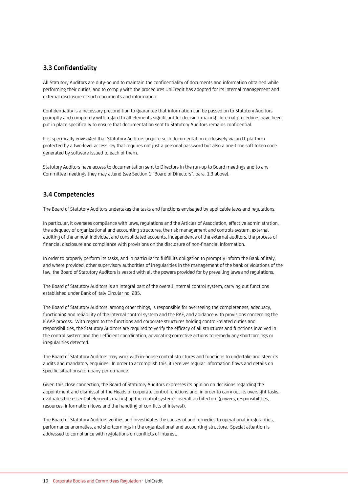# **3.3 Confidentiality**

All Statutory Auditors are duty-bound to maintain the confidentiality of documents and information obtained while performing their duties, and to comply with the procedures UniCredit has adopted for its internal management and external disclosure of such documents and information.

Confidentiality is a necessary precondition to guarantee that information can be passed on to Statutory Auditors promptly and completely with regard to all elements significant for decision-making. Internal procedures have been put in place specifically to ensure that documentation sent to Statutory Auditors remains confidential.

It is specifically envisaged that Statutory Auditors acquire such documentation exclusively via an IT platform protected by a two-level access key that requires not just a personal password but also a one-time soft token code generated by software issued to each of them.

Statutory Auditors have access to documentation sent to Directors in the run-up to Board meetings and to any Committee meetings they may attend (see Section 1 "Board of Directors", para. 1.3 above).

# **3.4 Competencies**

The Board of Statutory Auditors undertakes the tasks and functions envisaged by applicable laws and regulations.

In particular, it oversees compliance with laws, regulations and the Articles of Association, effective administration, the adequacy of organizational and accounting structures, the risk management and controls system, external auditing of the annual individual and consolidated accounts, independence of the external auditors, the process of financial disclosure and compliance with provisions on the disclosure of non-financial information.

In order to properly perform its tasks, and in particular to fulfill its obligation to promptly inform the Bank of Italy, and where provided, other supervisory authorities of irregularities in the management of the bank or violations of the law, the Board of Statutory Auditors is vested with all the powers provided for by prevailing laws and regulations.

The Board of Statutory Auditors is an integral part of the overall internal control system, carrying out functions established under Bank of Italy Circular no. 285.

The Board of Statutory Auditors, among other things, is responsible for overseeing the completeness, adequacy, functioning and reliability of the internal control system and the RAF, and abidance with provisions concerning the ICAAP process. With regard to the functions and corporate structures holding control-related duties and responsibilities, the Statutory Auditors are required to verify the efficacy of all structures and functions involved in the control system and their efficient coordination, advocating corrective actions to remedy any shortcomings or irregularities detected.

The Board of Statutory Auditors may work with in-house control structures and functions to undertake and steer its audits and mandatory enquiries. In order to accomplish this, it receives regular information flows and details on specific situations/company performance.

Given this close connection, the Board of Statutory Auditors expresses its opinion on decisions regarding the appointment and dismissal of the Heads of corporate control functions and, in order to carry out its oversight tasks, evaluates the essential elements making up the control system's overall architecture (powers, responsibilities, resources, information flows and the handling of conflicts of interest).

The Board of Statutory Auditors verifies and investigates the causes of and remedies to operational irregularities, performance anomalies, and shortcomings in the organizational and accounting structure. Special attention is addressed to compliance with regulations on conflicts of interest.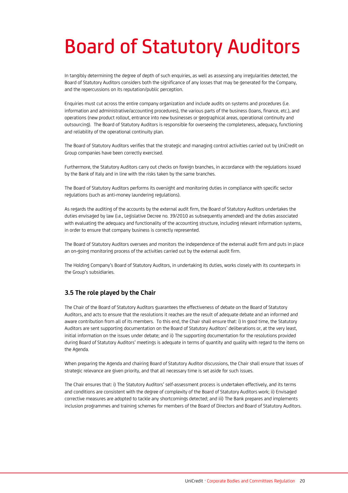# Board of Statutory Auditors

In tangibly determining the degree of depth of such enquiries, as well as assessing any irregularities detected, the Board of Statutory Auditors considers both the significance of any losses that may be generated for the Company, and the repercussions on its reputation/public perception.

Enquiries must cut across the entire company organization and include audits on systems and procedures (i.e. information and administrative/accounting procedures), the various parts of the business (loans, finance, etc.), and operations (new product rollout, entrance into new businesses or geographical areas, operational continuity and outsourcing). The Board of Statutory Auditors is responsible for overseeing the completeness, adequacy, functioning and reliability of the operational continuity plan.

The Board of Statutory Auditors verifies that the strategic and managing control activities carried out by UniCredit on Group companies have been correctly exercised.

Furthermore, the Statutory Auditors carry out checks on foreign branches, in accordance with the regulations issued by the Bank of Italy and in line with the risks taken by the same branches.

The Board of Statutory Auditors performs its oversight and monitoring duties in compliance with specific sector regulations (such as anti-money laundering regulations).

As regards the auditing of the accounts by the external audit firm, the Board of Statutory Auditors undertakes the duties envisaged by law (i.e., Legislative Decree no. 39/2010 as subsequently amended) and the duties associated with evaluating the adequacy and functionality of the accounting structure, including relevant information systems, in order to ensure that company business is correctly represented.

The Board of Statutory Auditors oversees and monitors the independence of the external audit firm and puts in place an on-going monitoring process of the activities carried out by the external audit firm.

The Holding Company's Board of Statutory Auditors, in undertaking its duties, works closely with its counterparts in the Group's subsidiaries.

# **3.5 The role played by the Chair**

The Chair of the Board of Statutory Auditors guarantees the effectiveness of debate on the Board of Statutory Auditors, and acts to ensure that the resolutions it reaches are the result of adequate debate and an informed and aware contribution from all of its members. To this end, the Chair shall ensure that: i) In good time, the Statutory Auditors are sent supporting documentation on the Board of Statutory Auditors' deliberations or, at the very least, initial information on the issues under debate; and ii) The supporting documentation for the resolutions provided during Board of Statutory Auditors' meetings is adequate in terms of quantity and quality with regard to the items on the Agenda.

When preparing the Agenda and chairing Board of Statutory Auditor discussions, the Chair shall ensure that issues of strategic relevance are given priority, and that all necessary time is set aside for such issues.

The Chair ensures that: i) The Statutory Auditors' self-assessment process is undertaken effectively, and its terms and conditions are consistent with the degree of complexity of the Board of Statutory Auditors work; ii) Envisaged corrective measures are adopted to tackle any shortcomings detected; and iii) The Bank prepares and implements inclusion programmes and training schemes for members of the Board of Directors and Board of Statutory Auditors.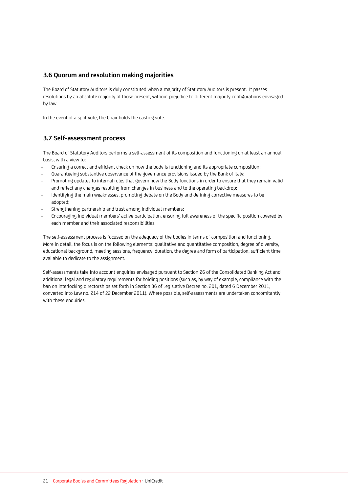# **3.6 Quorum and resolution making majorities**

The Board of Statutory Auditors is duly constituted when a majority of Statutory Auditors is present. It passes resolutions by an absolute majority of those present, without prejudice to different majority configurations envisaged by law.

In the event of a split vote, the Chair holds the casting vote.

# **3.7 Self-assessment process**

The Board of Statutory Auditors performs a self-assessment of its composition and functioning on at least an annual basis, with a view to:

- Ensuring a correct and efficient check on how the body is functioning and its appropriate composition;
- Guaranteeing substantive observance of the governance provisions issued by the Bank of Italy;
- Promoting updates to internal rules that govern how the Body functions in order to ensure that they remain valid and reflect any changes resulting from changes in business and to the operating backdrop;
- Identifying the main weaknesses, promoting debate on the Body and defining corrective measures to be adopted;
- Strengthening partnership and trust among individual members;
- Encouraging individual members' active participation, ensuring full awareness of the specific position covered by each member and their associated responsibilities.

The self-assessment process is focused on the adequacy of the bodies in terms of composition and functioning. More in detail, the focus is on the following elements: qualitative and quantitative composition, degree of diversity, educational background, meeting sessions, frequency, duration, the degree and form of participation, sufficient time available to dedicate to the assignment.

Self-assessments take into account enquiries envisaged pursuant to Section 26 of the Consolidated Banking Act and additional legal and regulatory requirements for holding positions (such as, by way of example, compliance with the ban on interlocking directorships set forth in Section 36 of Legislative Decree no. 201, dated 6 December 2011, converted into Law no. 214 of 22 December 2011). Where possible, self-assessments are undertaken concomitantly with these enquiries.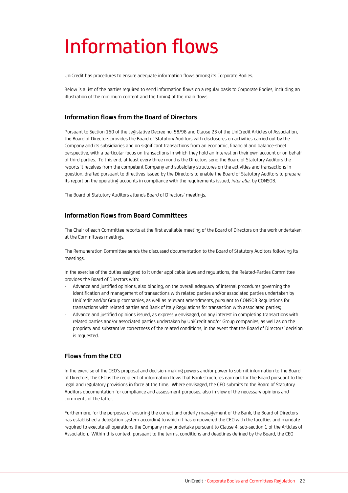# Information flows

UniCredit has procedures to ensure adequate information flows among its Corporate Bodies.

Below is a list of the parties required to send information flows on a regular basis to Corporate Bodies, including an illustration of the minimum content and the timing of the main flows.

## **Information flows from the Board of Directors**

Pursuant to Section 150 of the Legislative Decree no. 58/98 and Clause 23 of the UniCredit Articles of Association, the Board of Directors provides the Board of Statutory Auditors with disclosures on activities carried out by the Company and its subsidiaries and on significant transactions from an economic, financial and balance-sheet perspective, with a particular focus on transactions in which they hold an interest on their own account or on behalf of third parties. To this end, at least every three months the Directors send the Board of Statutory Auditors the reports it receives from the competent Company and subsidiary structures on the activities and transactions in question, drafted pursuant to directives issued by the Directors to enable the Board of Statutory Auditors to prepare its report on the operating accounts in compliance with the requirements issued, *inter alia,* by CONSOB.

The Board of Statutory Auditors attends Board of Directors' meetings.

### **Information flows from Board Committees**

The Chair of each Committee reports at the first available meeting of the Board of Directors on the work undertaken at the Committees meetings.

The Remuneration Committee sends the discussed documentation to the Board of Statutory Auditors following its meetings.

In the exercise of the duties assigned to it under applicable laws and regulations, the Related-Parties Committee provides the Board of Directors with:

- Advance and justified opinions, also binding, on the overall adequacy of internal procedures governing the identification and management of transactions with related parties and/or associated parties undertaken by UniCredit and/or Group companies, as well as relevant amendments, pursuant to CONSOB Regulations for transactions with related parties and Bank of Italy Regulations for transaction with associated parties;
- Advance and justified opinions issued, as expressly envisaged, on any interest in completing transactions with related parties and/or associated parties undertaken by UniCredit and/or Group companies, as well as on the propriety and substantive correctness of the related conditions, in the event that the Board of Directors' decision is requested.

# **Flows from the CEO**

In the exercise of the CEO's proposal and decision-making powers and/or power to submit information to the Board of Directors, the CEO is the recipient of information flows that Bank structures earmark for the Board pursuant to the legal and regulatory provisions in force at the time. Where envisaged, the CEO submits to the Board of Statutory Auditors documentation for compliance and assessment purposes, also in view of the necessary opinions and comments of the latter.

Furthermore, for the purposes of ensuring the correct and orderly management of the Bank, the Board of Directors has established a delegation system according to which it has empowered the CEO with the faculties and mandate required to execute all operations the Company may undertake pursuant to Clause 4, sub-section 1 of the Articles of Association. Within this context, pursuant to the terms, conditions and deadlines defined by the Board, the CEO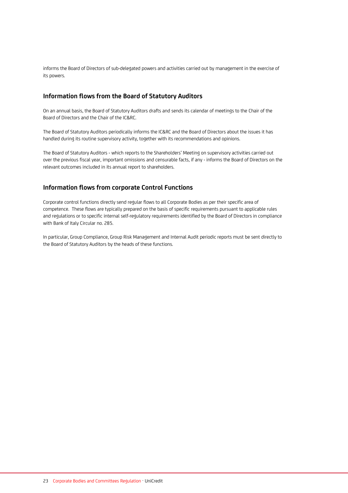informs the Board of Directors of sub-delegated powers and activities carried out by management in the exercise of its powers.

## **Information flows from the Board of Statutory Auditors**

On an annual basis, the Board of Statutory Auditors drafts and sends its calendar of meetings to the Chair of the Board of Directors and the Chair of the IC&RC.

The Board of Statutory Auditors periodically informs the IC&RC and the Board of Directors about the issues it has handled during its routine supervisory activity, together with its recommendations and opinions.

The Board of Statutory Auditors - which reports to the Shareholders' Meeting on supervisory activities carried out over the previous fiscal year, important omissions and censurable facts, if any - informs the Board of Directors on the relevant outcomes included in its annual report to shareholders.

## **Information flows from corporate Control Functions**

Corporate control functions directly send regular flows to all Corporate Bodies as per their specific area of competence. These flows are typically prepared on the basis of specific requirements pursuant to applicable rules and regulations or to specific internal self-regulatory requirements identified by the Board of Directors in compliance with Bank of Italy Circular no. 285.

In particular, Group Compliance, Group Risk Management and Internal Audit periodic reports must be sent directly to the Board of Statutory Auditors by the heads of these functions.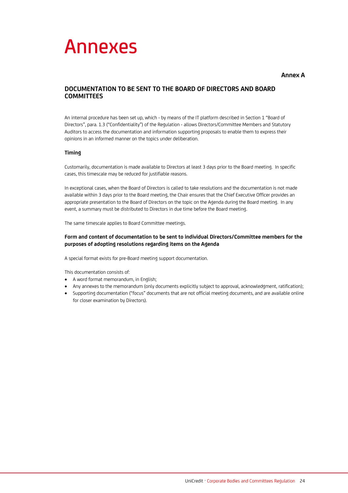# Annexes

#### **Annex A**

# **DOCUMENTATION TO BE SENT TO THE BOARD OF DIRECTORS AND BOARD COMMITTEES**

An internal procedure has been set up, which - by means of the IT platform described in Section 1 "Board of Directors", para. 1.3 ("Confidentiality") of the Regulation - allows Directors/Committee Members and Statutory Auditors to access the documentation and information supporting proposals to enable them to express their opinions in an informed manner on the topics under deliberation.

#### **Timing**

Customarily, documentation is made available to Directors at least 3 days prior to the Board meeting. In specific cases, this timescale may be reduced for justifiable reasons.

In exceptional cases, when the Board of Directors is called to take resolutions and the documentation is not made available within 3 days prior to the Board meeting, the Chair ensures that the Chief Executive Officer provides an appropriate presentation to the Board of Directors on the topic on the Agenda during the Board meeting. In any event, a summary must be distributed to Directors in due time before the Board meeting.

The same timescale applies to Board Committee meetings.

#### **Form and content of documentation to be sent to individual Directors/Committee members for the purposes of adopting resolutions regarding items on the Agenda**

A special format exists for pre-Board meeting support documentation.

This documentation consists of:

- A word format memorandum, in English;
- Any annexes to the memorandum (only documents explicitly subject to approval, acknowledgment, ratification);
- Supporting documentation ("focus" documents that are not official meeting documents, and are available online for closer examination by Directors).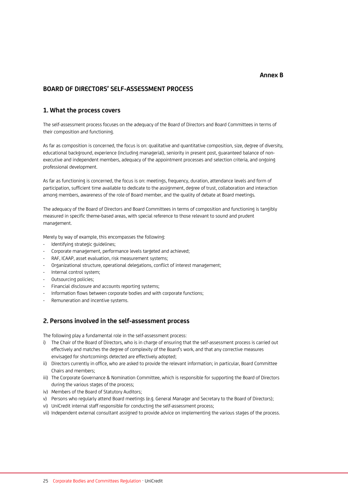### **BOARD OF DIRECTORS' SELF-ASSESSMENT PROCESS**

#### **1. What the process covers**

The self-assessment process focuses on the adequacy of the Board of Directors and Board Committees in terms of their composition and functioning.

As far as composition is concerned, the focus is on: qualitative and quantitative composition, size, degree of diversity, educational background, experience (including managerial), seniority in present post, guaranteed balance of nonexecutive and independent members, adequacy of the appointment processes and selection criteria, and ongoing professional development.

As far as functioning is concerned, the focus is on: meetings, frequency, duration, attendance levels and form of participation, sufficient time available to dedicate to the assignment, degree of trust, collaboration and interaction among members, awareness of the role of Board member, and the quality of debate at Board meetings.

The adequacy of the Board of Directors and Board Committees in terms of composition and functioning is tangibly measured in specific theme-based areas, with special reference to those relevant to sound and prudent management.

Merely by way of example, this encompasses the following:

- Identifying strategic guidelines;
- Corporate management, performance levels targeted and achieved;
- RAF, ICAAP, asset evaluation, risk measurement systems;
- Organizational structure, operational delegations, conflict of interest management;
- Internal control system;
- Outsourcing policies;
- Financial disclosure and accounts reporting systems;
- Information flows between corporate bodies and with corporate functions;
- Remuneration and incentive systems.

### **2. Persons involved in the self-assessment process**

The following play a fundamental role in the self-assessment process:

- i) The Chair of the Board of Directors, who is in charge of ensuring that the self-assessment process is carried out effectively and matches the degree of complexity of the Board's work, and that any corrective measures envisaged for shortcomings detected are effectively adopted;
- ii) Directors currently in office, who are asked to provide the relevant information; in particular, Board Committee Chairs and members;
- iii) The Corporate Governance & Nomination Committee, which is responsible for supporting the Board of Directors during the various stages of the process;
- iv) Members of the Board of Statutory Auditors;
- v) Persons who regularly attend Board meetings (e.g. General Manager and Secretary to the Board of Directors);
- vi) UniCredit internal staff responsible for conducting the self-assessment process;
- vii) Independent external consultant assigned to provide advice on implementing the various stages of the process.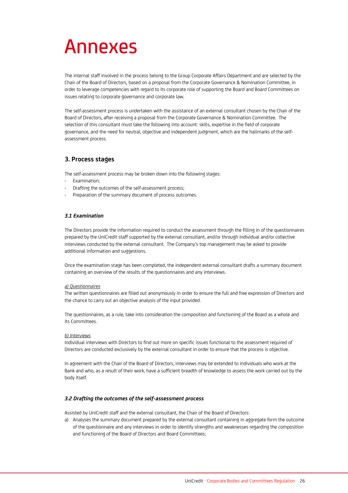# Annexes

The internal staff involved in the process belong to the Group Corporate Affairs Department and are selected by the Chair of the Board of Directors, based on a proposal from the Corporate Governance & Nomination Committee, in order to leverage competencies with regard to its corporate role of supporting the Board and Board Committees on issues relating to corporate governance and corporate law.

The self-assessment process is undertaken with the assistance of an external consultant chosen by the Chair of the Board of Directors, after receiving a proposal from the Corporate Governance & Nomination Committee. The selection of this consultant must take the following into account: skills, expertise in the field of corporate governance, and the need for neutral, objective and independent judgment, which are the hallmarks of the selfassessment process.

# **3. Process stages**

The self-assessment process may be broken down into the following stages:

- Examination;
- Drafting the outcomes of the self-assessment process;
- Preparation of the summary document of process outcomes.

#### *3.1 Examination*

The Directors provide the information required to conduct the assessment through the filling in of the questionnaires prepared by the UniCredit staff supported by the external consultant, and/or through individual and/or collective interviews conducted by the external consultant. The Company's top management may be asked to provide additional information and suggestions.

Once the examination stage has been completed, the independent external consultant drafts a summary document containing an overview of the results of the questionnaires and any interviews.

#### *a) Questionnaires*

The written questionnaires are filled out anonymously in order to ensure the full and free expression of Directors and the chance to carry out an objective analysis of the input provided.

The questionnaires, as a rule, take into consideration the composition and functioning of the Board as a whole and its Committees.

#### *b) Interviews*

Individual interviews with Directors to find out more on specific issues functional to the assessment required of Directors are conducted exclusively by the external consultant in order to ensure that the process is objective.

In agreement with the Chair of the Board of Directors, interviews may be extended to individuals who work at the Bank and who, as a result of their work, have a sufficient breadth of knowledge to assess the work carried out by the body itself.

#### *3.2 Drafting the outcomes of the self-assessment process*

Assisted by UniCredit staff and the external consultant, the Chair of the Board of Directors:

a) Analyses the summary document prepared by the external consultant containing in aggregate form the outcome of the questionnaire and any interviews in order to identify strengths and weaknesses regarding the composition and functioning of the Board of Directors and Board Committees;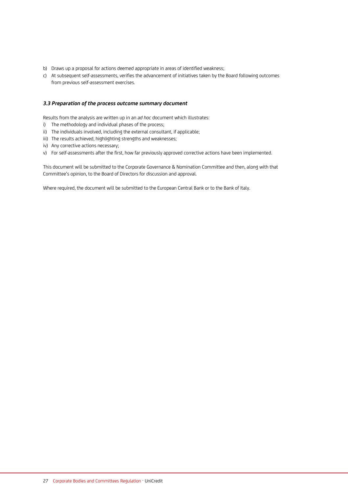- b) Draws up a proposal for actions deemed appropriate in areas of identified weakness;
- c) At subsequent self-assessments, verifies the advancement of initiatives taken by the Board following outcomes from previous self-assessment exercises.

#### *3.3 Preparation of the process outcome summary document*

Results from the analysis are written up in an *ad hoc* document which illustrates:

- i) The methodology and individual phases of the process;
- ii) The individuals involved, including the external consultant, if applicable;
- iii) The results achieved, highlighting strengths and weaknesses;
- iv) Any corrective actions necessary;
- v) For self-assessments after the first, how far previously approved corrective actions have been implemented.

This document will be submitted to the Corporate Governance & Nomination Committee and then, along with that Committee's opinion, to the Board of Directors for discussion and approval.

Where required, the document will be submitted to the European Central Bank or to the Bank of Italy.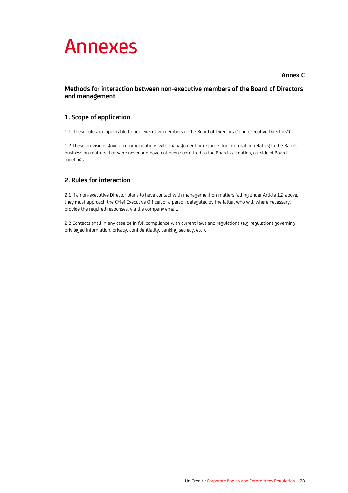

## **Annex C**

## **Methods for interaction between non-executive members of the Board of Directors and management**

# **1. Scope of application**

1.1. These rules are applicable to non-executive members of the Board of Directors ("non-executive Directors").

1.2 These provisions govern communications with management or requests for information relating to the Bank's business on matters that were never and have not been submitted to the Board's attention, outside of Board meetings.

# **2. Rules for interaction**

2.1 If a non-executive Director plans to have contact with management on matters falling under Article 1.2 above, they must approach the Chief Executive Officer, or a person delegated by the latter, who will, where necessary, provide the required responses, via the company email.

2.2 Contacts shall in any case be in full compliance with current laws and regulations (e.g. regulations governing privileged information, privacy, confidentiality, banking secrecy, etc.).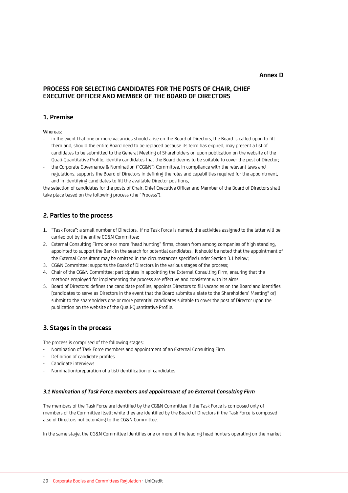#### **Annex D**

# **PROCESS FOR SELECTING CANDIDATES FOR THE POSTS OF CHAIR, CHIEF EXECUTIVE OFFICER AND MEMBER OF THE BOARD OF DIRECTORS**

# **1. Premise**

Whereas:

- in the event that one or more vacancies should arise on the Board of Directors, the Board is called upon to fill them and, should the entire Board need to be replaced because its term has expired, may present a list of candidates to be submitted to the General Meeting of Shareholders or, upon publication on the website of the Quali-Quantitative Profile, identify candidates that the Board deems to be suitable to cover the post of Director;
- the Corporate Governance & Nomination ("CG&N") Committee, in compliance with the relevant laws and regulations, supports the Board of Directors in defining the roles and capabilities required for the appointment, and in identifying candidates to fill the available Director positions,

the selection of candidates for the posts of Chair, Chief Executive Officer and Member of the Board of Directors shall take place based on the following process (the "Process").

# **2. Parties to the process**

- 1. "Task Force": a small number of Directors. If no Task Force is named, the activities assigned to the latter will be carried out by the entire CG&N Committee;
- 2. External Consulting Firm: one or more "head hunting" firms, chosen from among companies of high standing, appointed to support the Bank in the search for potential candidates. It should be noted that the appointment of the External Consultant may be omitted in the circumstances specified under Section 3.1 below;
- 3. CG&N Committee: supports the Board of Directors in the various stages of the process;
- 4. Chair of the CG&N Committee: participates in appointing the External Consulting Firm, ensuring that the methods employed for implementing the process are effective and consistent with its aims;
- 5. Board of Directors: defines the candidate profiles, appoints Directors to fill vacancies on the Board and identifies [candidates to serve as Directors in the event that the Board submits a slate to the Shareholders' Meeting\* or] submit to the shareholders one or more potential candidates suitable to cover the post of Director upon the publication on the website of the Quali-Quantitative Profile.

## **3. Stages in the process**

The process is comprised of the following stages:

- Nomination of Task Force members and appointment of an External Consulting Firm
- Definition of candidate profiles
- Candidate interviews
- Nomination/preparation of a list/identification of candidates

#### *3.1 Nomination of Task Force members and appointment of an External Consulting Firm*

The members of the Task Force are identified by the CG&N Committee if the Task Force is composed only of members of the Committee itself; while they are identified by the Board of Directors if the Task Force is composed also of Directors not belonging to the CG&N Committee.

In the same stage, the CG&N Committee identifies one or more of the leading head hunters operating on the market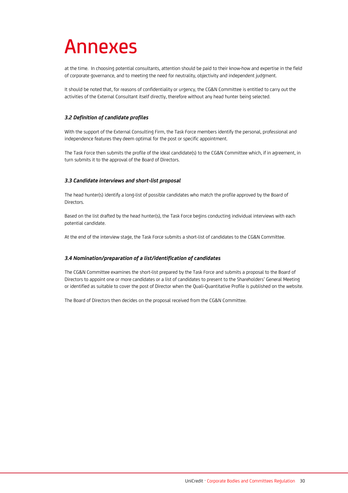# Annexes

at the time. In choosing potential consultants, attention should be paid to their know-how and expertise in the field of corporate governance, and to meeting the need for neutrality, objectivity and independent judgment.

It should be noted that, for reasons of confidentiality or urgency, the CG&N Committee is entitled to carry out the activities of the External Consultant itself directly, therefore without any head hunter being selected.

#### *3.2 Definition of candidate profiles*

With the support of the External Consulting Firm, the Task Force members identify the personal, professional and independence features they deem optimal for the post or specific appointment.

The Task Force then submits the profile of the ideal candidate(s) to the CG&N Committee which, if in agreement, in turn submits it to the approval of the Board of Directors.

#### *3.3 Candidate interviews and short-list proposal*

The head hunter(s) identify a long-list of possible candidates who match the profile approved by the Board of Directors.

Based on the list drafted by the head hunter(s), the Task Force begins conducting individual interviews with each potential candidate.

At the end of the interview stage, the Task Force submits a short-list of candidates to the CG&N Committee.

#### *3.4 Nomination/preparation of a list/identification of candidates*

The CG&N Committee examines the short-list prepared by the Task Force and submits a proposal to the Board of Directors to appoint one or more candidates or a list of candidates to present to the Shareholders' General Meeting or identified as suitable to cover the post of Director when the Quali-Quantitative Profile is published on the website.

The Board of Directors then decides on the proposal received from the CG&N Committee.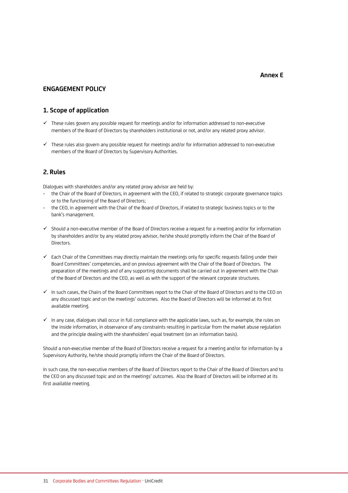#### **Annex E**

### **ENGAGEMENT POLICY**

#### **1. Scope of application**

- ✓ These rules govern any possible request for meetings and/or for information addressed to non-executive members of the Board of Directors by shareholders institutional or not, and/or any related proxy advisor.
- ✓ These rules also govern any possible request for meetings and/or for information addressed to non-executive members of the Board of Directors by Supervisory Authorities.

#### **2. Rules**

Dialogues with shareholders and/or any related proxy advisor are held by:

- the Chair of the Board of Directors, in agreement with the CEO, if related to strategic corporate governance topics or to the functioning of the Board of Directors;
- the CEO, in agreement with the Chair of the Board of Directors, if related to strategic business topics or to the bank's management.
- $\checkmark$  Should a non-executive member of the Board of Directors receive a request for a meeting and/or for information by shareholders and/or by any related proxy advisor, he/she should promptly inform the Chair of the Board of Directors.
- ✓ Each Chair of the Committees may directly maintain the meetings only for specific requests falling under their Board Committees' competencies, and on previous agreement with the Chair of the Board of Directors. The preparation of the meetings and of any supporting documents shall be carried out in agreement with the Chair of the Board of Directors and the CEO, as well as with the support of the relevant corporate structures.
- ✓ In such cases, the Chairs of the Board Committees report to the Chair of the Board of Directors and to the CEO on any discussed topic and on the meetings' outcomes. Also the Board of Directors will be informed at its first available meeting.
- ✓ In any case, dialogues shall occur in full compliance with the applicable laws, such as, for example, the rules on the inside information, in observance of any constraints resulting in particular from the market abuse regulation and the principle dealing with the shareholders' equal treatment (on an information basis).

Should a non-executive member of the Board of Directors receive a request for a meeting and/or for information by a Supervisory Authority, he/she should promptly inform the Chair of the Board of Directors.

In such case, the non-executive members of the Board of Directors report to the Chair of the Board of Directors and to the CEO on any discussed topic and on the meetings' outcomes. Also the Board of Directors will be informed at its first available meeting.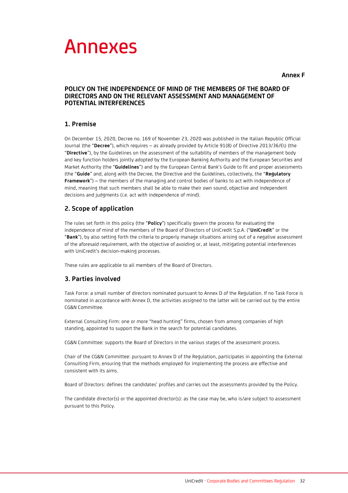

#### **Annex F**

### **POLICY ON THE INDEPENDENCE OF MIND OF THE MEMBERS OF THE BOARD OF DIRECTORS AND ON THE RELEVANT ASSESSMENT AND MANAGEMENT OF POTENTIAL INTERFERENCES**

## **1. Premise**

On December 15, 2020, Decree no. 169 of November 23, 2020 was published in the Italian Republic Official Journal (the "**Decree**"), which requires – as already provided by Article 91(8) of Directive 2013/36/EU (the "**Directive**"), by the Guidelines on the assessment of the suitability of members of the management body and key function holders jointly adopted by the European Banking Authority and the European Securities and Market Authority (the "**Guidelines**") and by the European Central Bank's Guide to fit and proper assessments (the "**Guide**" and, along with the Decree, the Directive and the Guidelines, collectively, the "**Regulatory Framework**") – the members of the managing and control bodies of banks to act with independence of mind, meaning that such members shall be able to make their own sound, objective and independent decisions and judgments (*i.e*. act with independence of mind).

# **2. Scope of application**

The rules set forth in this policy (the "**Policy**") specifically govern the process for evaluating the independence of mind of the members of the Board of Directors of UniCredit S.p.A. ("**UniCredit**" or the "**Bank**"), by also setting forth the criteria to properly manage situations arising out of a negative assessment of the aforesaid requirement, with the objective of avoiding or, at least, mitigating potential interferences with UniCredit's decision-making processes.

These rules are applicable to all members of the Board of Directors.

# **3. Parties involved**

Task Force: a small number of directors nominated pursuant to Annex D of the Regulation. If no Task Force is nominated in accordance with Annex D, the activities assigned to the latter will be carried out by the entire CG&N Committee.

External Consulting Firm: one or more "head hunting" firms, chosen from among companies of high standing, appointed to support the Bank in the search for potential candidates.

CG&N Committee: supports the Board of Directors in the various stages of the assessment process.

Chair of the CG&N Committee: pursuant to Annex D of the Regulation, participates in appointing the External Consulting Firm, ensuring that the methods employed for implementing the process are effective and consistent with its aims.

Board of Directors: defines the candidates' profiles and carries out the assessments provided by the Policy.

The candidate director(s) or the appointed director(s): as the case may be, who is/are subject to assessment pursuant to this Policy.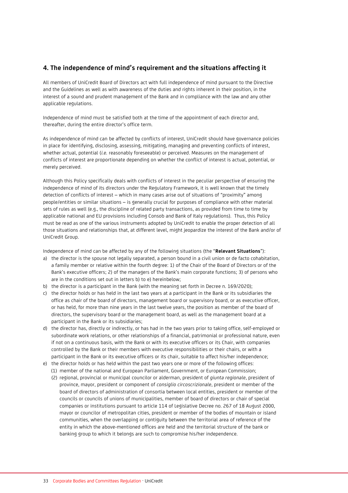# **4. The independence of mind's requirement and the situations affecting it**

All members of UniCredit Board of Directors act with full independence of mind pursuant to the Directive and the Guidelines as well as with awareness of the duties and rights inherent in their position, in the interest of a sound and prudent management of the Bank and in compliance with the law and any other applicable regulations.

Independence of mind must be satisfied both at the time of the appointment of each director and, thereafter, during the entire director's office term.

As independence of mind can be affected by conflicts of interest, UniCredit should have governance policies in place for identifying, disclosing, assessing, mitigating, managing and preventing conflicts of interest, whether actual, potential (*i.e.* reasonably foreseeable) or perceived. Measures on the management of conflicts of interest are proportionate depending on whether the conflict of interest is actual, potential, or merely perceived.

Although this Policy specifically deals with conflicts of interest in the peculiar perspective of ensuring the independence of mind of its directors under the Regulatory Framework, it is well known that the timely detection of conflicts of interest – which in many cases arise out of situations of "proximity" among people/entities or similar situations – is generally crucial for purposes of compliance with other material sets of rules as well (e.g., the discipline of related party transactions, as provided from time to time by applicable national and EU provisions including Consob and Bank of Italy regulations). Thus, this Policy must be read as one of the various instruments adopted by UniCredit to enable the proper detection of all those situations and relationships that, at different level, might jeopardize the interest of the Bank and/or of UniCredit Group.

Independence of mind can be affected by any of the following situations (the "**Relevant Situations**"):

- a) the director is the spouse not legally separated, a person bound in a civil union or de facto cohabitation, a family member or relative within the fourth degree: 1) of the Chair of the Board of Directors or of the Bank's executive officers; 2) of the managers of the Bank's main corporate functions; 3) of persons who are in the conditions set out in letters b) to e) hereinbelow;
- b) the director is a participant in the Bank (with the meaning set forth in Decree n. 169/2020);
- c) the director holds or has held in the last two years at a participant in the Bank or its subsidiaries the office as chair of the board of directors, management board or supervisory board, or as executive officer, or has held, for more than nine years in the last twelve years, the position as member of the board of directors, the supervisory board or the management board, as well as the management board at a participant in the Bank or its subsidiaries;
- d) the director has, directly or indirectly, or has had in the two years prior to taking office, self-employed or subordinate work relations, or other relationships of a financial, patrimonial or professional nature, even if not on a continuous basis, with the Bank or with its executive officers or its Chair, with companies controlled by the Bank or their members with executive responsibilities or their chairs, or with a participant in the Bank or its executive officers or its chair, suitable to affect his/her independence;
- e) the director holds or has held within the past two years one or more of the following offices:
	- (1) member of the national and European Parliament, Government, or European Commission;
	- (2) regional, provincial or municipal councilor or alderman, president of *giunta regionale*, president of province, mayor, president or component of *consiglio circoscrizionale*, president or member of the board of directors of administration of consortia between local entities, president or member of the councils or councils of unions of municipalities, member of board of directors or chair of special companies or institutions pursuant to article 114 of Legislative Decree no. 267 of 18 August 2000, mayor or councilor of metropolitan cities, president or member of the bodies of mountain or island communities, when the overlapping or contiguity between the territorial area of reference of the entity in which the above-mentioned offices are held and the territorial structure of the bank or banking group to which it belongs are such to compromise his/her independence.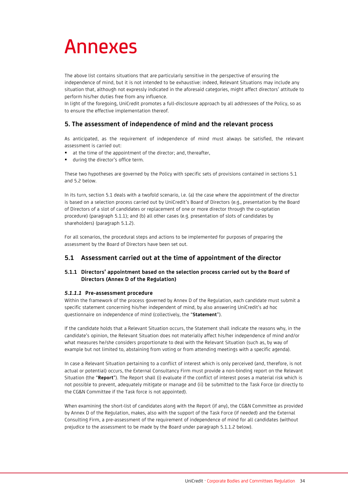# Annexes

The above list contains situations that are particularly sensitive in the perspective of ensuring the independence of mind, but it is not intended to be exhaustive: indeed, Relevant Situations may include any situation that, although not expressly indicated in the aforesaid categories, might affect directors' attitude to perform his/her duties free from any influence.

In light of the foregoing, UniCredit promotes a full-disclosure approach by all addressees of the Policy, so as to ensure the effective implementation thereof.

# **5. The assessment of independence of mind and the relevant process**

As anticipated, as the requirement of independence of mind must always be satisfied, the relevant assessment is carried out:

- at the time of the appointment of the director; and, thereafter,
- **U** during the director's office term.

These two hypotheses are governed by the Policy with specific sets of provisions contained in sections 5.1 and 5.2 below.

In its turn, section 5.1 deals with a twofold scenario, i.e. (a) the case where the appointment of the director is based on a selection process carried out by UniCredit's Board of Directors (e.g., presentation by the Board of Directors of a slot of candidates or replacement of one or more director through the co-optation procedure) (paragraph 5.1.1); and (b) all other cases (e.g. presentation of slots of candidates by shareholders) (paragraph 5.1.2).

For all scenarios, the procedural steps and actions to be implemented for purposes of preparing the assessment by the Board of Directors have been set out.

## **5.1 Assessment carried out at the time of appointment of the director**

#### **5.1.1 Directors' appointment based on the selection process carried out by the Board of Directors (Annex D of the Regulation)**

#### *5.1.1.1* **Pre-assessment procedure**

Within the framework of the process governed by Annex D of the Regulation, each candidate must submit a specific statement concerning his/her independent of mind, by also answering UniCredit's ad hoc questionnaire on independence of mind (collectively, the "**Statement**").

If the candidate holds that a Relevant Situation occurs, the Statement shall indicate the reasons why, in the candidate's opinion, the Relevant Situation does not materially affect his/her independence of mind and/or what measures he/she considers proportionate to deal with the Relevant Situation (such as, by way of example but not limited to, abstaining from voting or from attending meetings with a specific agenda).

In case a Relevant Situation pertaining to a conflict of interest which is only perceived (and, therefore, is not actual or potential) occurs, the External Consultancy Firm must provide a non-binding report on the Relevant Situation (the "**Report**"). The Report shall (i) evaluate if the conflict of interest poses a material risk which is not possible to prevent, adequately mitigate or manage and (ii) be submitted to the Task Force (or directly to the CG&N Committee if the Task force is not appointed).

When examining the short-list of candidates along with the Report (if any), the CG&N Committee as provided by Annex D of the Regulation, makes, also with the support of the Task Force (if needed) and the External Consulting Firm, a pre-assessment of the requirement of independence of mind for all candidates (without prejudice to the assessment to be made by the Board under paragraph 5.1.1.2 below).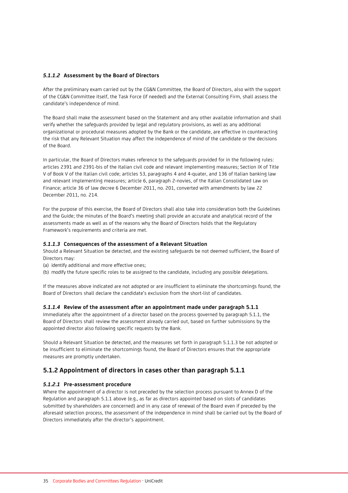#### *5.1.1.2* **Assessment by the Board of Directors**

After the preliminary exam carried out by the CG&N Committee, the Board of Directors, also with the support of the CG&N Committee itself, the Task Force (if needed) and the External Consulting Firm, shall assess the candidate's independence of mind.

The Board shall make the assessment based on the Statement and any other available information and shall verify whether the safeguards provided by legal and regulatory provisions, as well as any additional organizational or procedural measures adopted by the Bank or the candidate, are effective in counteracting the risk that any Relevant Situation may affect the independence of mind of the candidate or the decisions of the Board.

In particular, the Board of Directors makes reference to the safeguards provided for in the following rules: articles 2391 and 2391-bis of the Italian civil code and relevant implementing measures; Section IX of Title V of Book V of the Italian civil code; articles 53, paragraphs 4 and 4-quater, and 136 of Italian banking law and relevant implementing measures; article 6, paragraph 2-novies, of the Italian Consolidated Law on Finance; article 36 of law decree 6 December 2011, no. 201, converted with amendments by law 22 December 2011, no. 214.

For the purpose of this exercise, the Board of Directors shall also take into consideration both the Guidelines and the Guide; the minutes of the Board's meeting shall provide an accurate and analytical record of the assessments made as well as of the reasons why the Board of Directors holds that the Regulatory Framework's requirements and criteria are met.

#### *5.1.1.3* **Consequences of the assessment of a Relevant Situation**

Should a Relevant Situation be detected, and the existing safeguards be not deemed sufficient, the Board of Directors may:

(a) identify additional and more effective ones;

(b) modify the future specific roles to be assigned to the candidate, including any possible delegations.

If the measures above indicated are not adopted or are insufficient to eliminate the shortcomings found, the Board of Directors shall declare the candidate's exclusion from the short-list of candidates.

#### *5.1.1.4* **Review of the assessment after an appointment made under paragraph 5.1.1**

Immediately after the appointment of a director based on the process governed by paragraph 5.1.1, the Board of Directors shall review the assessment already carried out, based on further submissions by the appointed director also following specific requests by the Bank.

Should a Relevant Situation be detected, and the measures set forth in paragraph 5.1.1.3 be not adopted or be insufficient to eliminate the shortcomings found, the Board of Directors ensures that the appropriate measures are promptly undertaken.

#### **5.1.2 Appointment of directors in cases other than paragraph 5.1.1**

#### *5.1.2.1* **Pre-assessment procedure**

Where the appointment of a director is not preceded by the selection process pursuant to Annex D of the Regulation and paragraph 5.1.1 above (e.g., as far as directors appointed based on slots of candidates submitted by shareholders are concerned) and in any case of renewal of the Board even if preceded by the aforesaid selection process, the assessment of the independence in mind shall be carried out by the Board of Directors immediately after the director's appointment.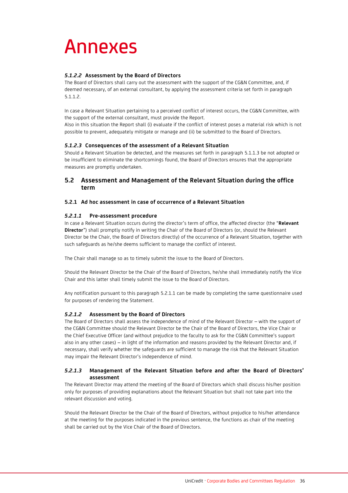# Annexes

## *5.1.2.2* **Assessment by the Board of Directors**

The Board of Directors shall carry out the assessment with the support of the CG&N Committee, and, if deemed necessary, of an external consultant, by applying the assessment criteria set forth in paragraph 5.1.1.2.

In case a Relevant Situation pertaining to a perceived conflict of interest occurs, the CG&N Committee, with the support of the external consultant, must provide the Report.

Also in this situation the Report shall (i) evaluate if the conflict of interest poses a material risk which is not possible to prevent, adequately mitigate or manage and (ii) be submitted to the Board of Directors.

## *5.1.2.3* **Consequences of the assessment of a Relevant Situation**

Should a Relevant Situation be detected, and the measures set forth in paragraph 5.1.1.3 be not adopted or be insufficient to eliminate the shortcomings found, the Board of Directors ensures that the appropriate measures are promptly undertaken.

# **5.2 Assessment and Management of the Relevant Situation during the office term**

## **5.2.1 Ad hoc assessment in case of occurrence of a Relevant Situation**

#### *5.2.1.1* **Pre-assessment procedure**

In case a Relevant Situation occurs during the director's term of office, the affected director (the "**Relevant Director**") shall promptly notify in writing the Chair of the Board of Directors (or, should the Relevant Director be the Chair, the Board of Directors directly) of the occurrence of a Relevant Situation, together with such safeguards as he/she deems sufficient to manage the conflict of interest.

The Chair shall manage so as to timely submit the issue to the Board of Directors.

Should the Relevant Director be the Chair of the Board of Directors, he/she shall immediately notify the Vice Chair and this latter shall timely submit the issue to the Board of Directors.

Any notification pursuant to this paragraph 5.2.1.1 can be made by completing the same questionnaire used for purposes of rendering the Statement.

## *5.2.1.2* **Assessment by the Board of Directors**

The Board of Directors shall assess the independence of mind of the Relevant Director – with the support of the CG&N Committee should the Relevant Director be the Chair of the Board of Directors, the Vice Chair or the Chief Executive Officer (and without prejudice to the faculty to ask for the CG&N Committee's support also in any other cases) – in light of the information and reasons provided by the Relevant Director and, if necessary, shall verify whether the safeguards are sufficient to manage the risk that the Relevant Situation may impair the Relevant Director's independence of mind.

#### *5.2.1.3* **Management of the Relevant Situation before and after the Board of Directors' assessment**

The Relevant Director may attend the meeting of the Board of Directors which shall discuss his/her position only for purposes of providing explanations about the Relevant Situation but shall not take part into the relevant discussion and voting.

Should the Relevant Director be the Chair of the Board of Directors, without prejudice to his/her attendance at the meeting for the purposes indicated in the previous sentence, the functions as chair of the meeting shall be carried out by the Vice Chair of the Board of Directors.